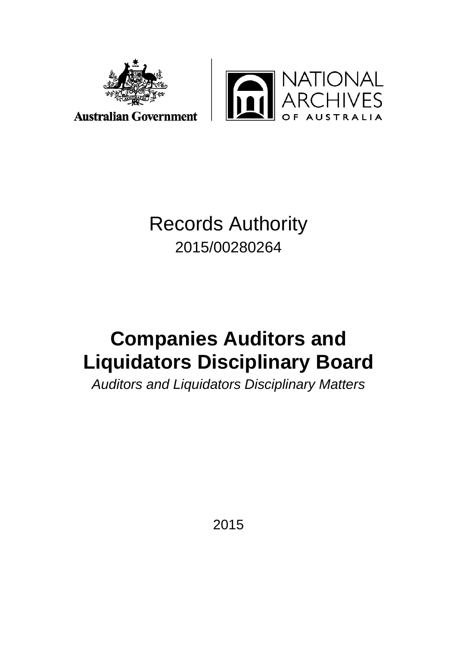



**Australian Government** 

## Records Authority 2015/00280264

# **Companies Auditors and Liquidators Disciplinary Board**

*Auditors and Liquidators Disciplinary Matters* 

2015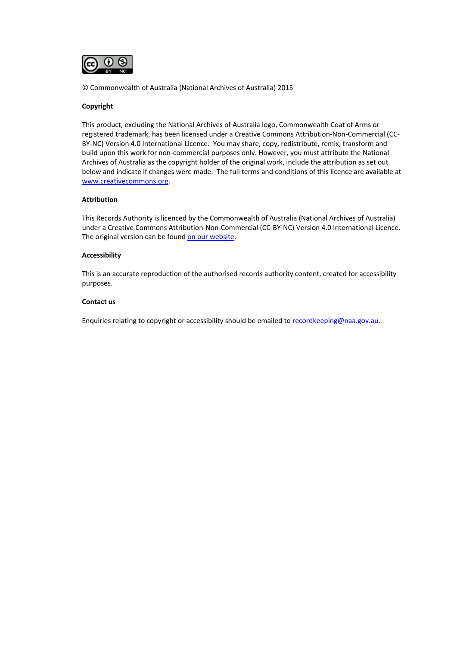

© Commonwealth of Australia (National Archives of Australia) 2015

#### **Copyright**

This product, excluding the National Archives of Australia logo, Commonwealth Coat of Arms or registered trademark, has been licensed under a Creative Commons Attribution-Non-Commercial (CC-BY-NC) Version 4.0 International Licence. You may share, copy, redistribute, remix, transform and build upon this work for non-commercial purposes only. However, you must attribute the National Archives of Australia as the copyright holder of the original work, include the attribution as set out below and indicate if changes were made. The full terms and conditions of this licence are available at [www.creativecommons.org.](http://www.creativecommons.org/) 

#### **Attribution**

This Records Authority is licenced by the Commonwealth of Australia (National Archives of Australia) under a Creative Commons Attribution-Non-Commercial (CC-BY-NC) Version 4.0 International Licence. The original version can be foun[d on our website.](http://www.naa.gov.au/)

#### **Accessibility**

This is an accurate reproduction of the authorised records authority content, created for accessibility purposes.

#### **Contact us**

Enquiries relating to copyright or accessibility should be emailed to [recordkeeping@naa.gov.au.](mailto:recordkeeping@naa.gov.au)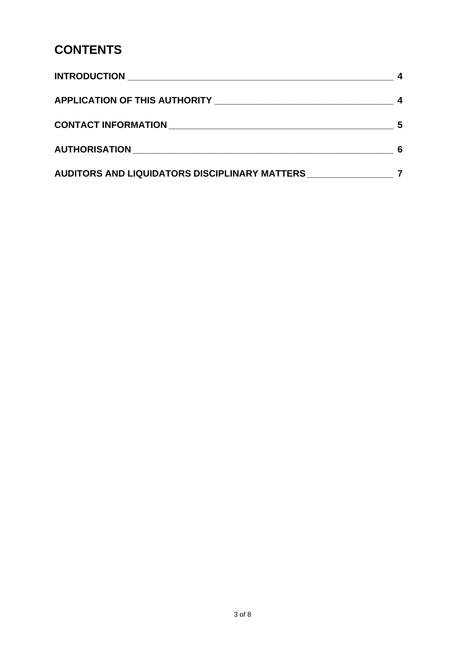### **CONTENTS**

| CONTACT INFORMATION NATION                    | 5 |
|-----------------------------------------------|---|
| <b>AUTHORISATION AUTHORISM</b>                |   |
| AUDITORS AND LIQUIDATORS DISCIPLINARY MATTERS |   |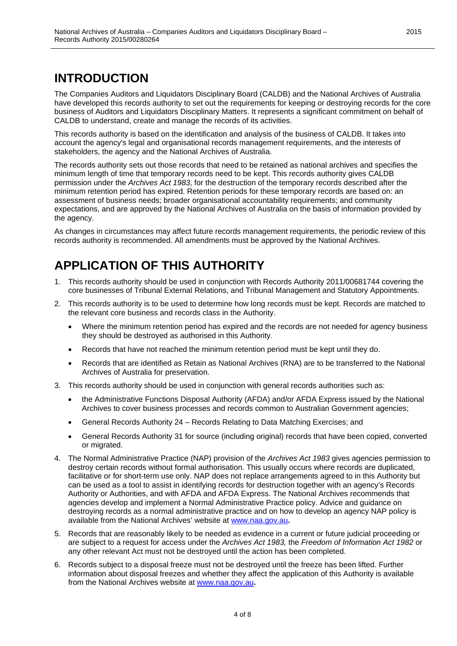### **INTRODUCTION**

The Companies Auditors and Liquidators Disciplinary Board (CALDB) and the National Archives of Australia have developed this records authority to set out the requirements for keeping or destroying records for the core business of Auditors and Liquidators Disciplinary Matters. It represents a significant commitment on behalf of CALDB to understand, create and manage the records of its activities.

This records authority is based on the identification and analysis of the business of CALDB. It takes into account the agency's legal and organisational records management requirements, and the interests of stakeholders, the agency and the National Archives of Australia.

The records authority sets out those records that need to be retained as national archives and specifies the minimum length of time that temporary records need to be kept. This records authority gives CALDB permission under the *Archives Act 1983*, for the destruction of the temporary records described after the minimum retention period has expired. Retention periods for these temporary records are based on: an assessment of business needs; broader organisational accountability requirements; and community expectations, and are approved by the National Archives of Australia on the basis of information provided by the agency.

As changes in circumstances may affect future records management requirements, the periodic review of this records authority is recommended. All amendments must be approved by the National Archives.

### **APPLICATION OF THIS AUTHORITY**

- 1. This records authority should be used in conjunction with Records Authority 2011/00681744 covering the core businesses of Tribunal External Relations, and Tribunal Management and Statutory Appointments.
- 2. This records authority is to be used to determine how long records must be kept. Records are matched to the relevant core business and records class in the Authority.
	- Where the minimum retention period has expired and the records are not needed for agency business they should be destroyed as authorised in this Authority.
	- Records that have not reached the minimum retention period must be kept until they do.
	- Records that are identified as Retain as National Archives (RNA) are to be transferred to the National Archives of Australia for preservation.
- 3. This records authority should be used in conjunction with general records authorities such as:
	- the Administrative Functions Disposal Authority (AFDA) and/or AFDA Express issued by the National Archives to cover business processes and records common to Australian Government agencies;
	- General Records Authority 24 Records Relating to Data Matching Exercises; and
	- General Records Authority 31 for source (including original) records that have been copied, converted or migrated.
- 4. The Normal Administrative Practice (NAP) provision of the *Archives Act 1983* gives agencies permission to destroy certain records without formal authorisation. This usually occurs where records are duplicated, facilitative or for short-term use only. NAP does not replace arrangements agreed to in this Authority but can be used as a tool to assist in identifying records for destruction together with an agency's Records Authority or Authorities, and with AFDA and AFDA Express. The National Archives recommends that agencies develop and implement a Normal Administrative Practice policy. Advice and guidance on destroying records as a normal administrative practice and on how to develop an agency NAP policy is available from the National Archives' website at [www.naa.gov.au](http://www.naa.gov.au/)**.**
- 5. Records that are reasonably likely to be needed as evidence in a current or future judicial proceeding or are subject to a request for access under the *Archives Act 1983,* the *Freedom of Information Act 1982* or any other relevant Act must not be destroyed until the action has been completed.
- 6. Records subject to a disposal freeze must not be destroyed until the freeze has been lifted. Further information about disposal freezes and whether they affect the application of this Authority is available from the National Archives website at [www.naa.gov.au](http://www.naa.gov.au/)**.**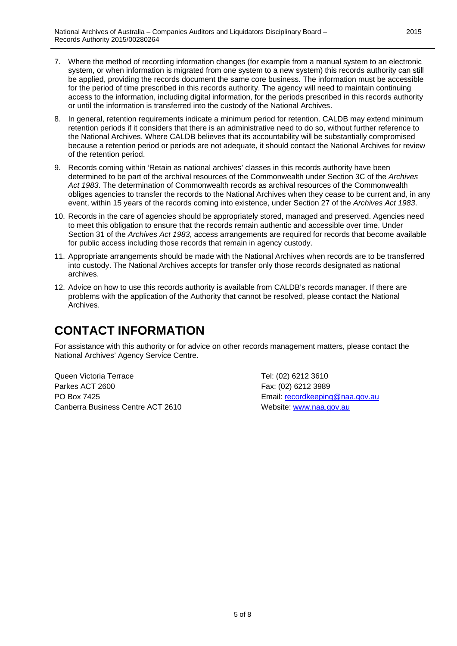- 7. Where the method of recording information changes (for example from a manual system to an electronic system, or when information is migrated from one system to a new system) this records authority can still be applied, providing the records document the same core business. The information must be accessible for the period of time prescribed in this records authority. The agency will need to maintain continuing access to the information, including digital information, for the periods prescribed in this records authority or until the information is transferred into the custody of the National Archives.
- 8. In general, retention requirements indicate a minimum period for retention. CALDB may extend minimum retention periods if it considers that there is an administrative need to do so, without further reference to the National Archives. Where CALDB believes that its accountability will be substantially compromised because a retention period or periods are not adequate, it should contact the National Archives for review of the retention period.
- 9. Records coming within 'Retain as national archives' classes in this records authority have been determined to be part of the archival resources of the Commonwealth under Section 3C of the *Archives Act 1983*. The determination of Commonwealth records as archival resources of the Commonwealth obliges agencies to transfer the records to the National Archives when they cease to be current and, in any event, within 15 years of the records coming into existence, under Section 27 of the *Archives Act 1983*.
- 10. Records in the care of agencies should be appropriately stored, managed and preserved. Agencies need to meet this obligation to ensure that the records remain authentic and accessible over time. Under Section 31 of the *Archives Act 1983*, access arrangements are required for records that become available for public access including those records that remain in agency custody.
- 11. Appropriate arrangements should be made with the National Archives when records are to be transferred into custody. The National Archives accepts for transfer only those records designated as national archives.
- 12. Advice on how to use this records authority is available from CALDB's records manager. If there are problems with the application of the Authority that cannot be resolved, please contact the National Archives.

### **CONTACT INFORMATION**

For assistance with this authority or for advice on other records management matters, please contact the National Archives' Agency Service Centre.

Queen Victoria Terrace Tel: (02) 6212 3610 Parkes ACT 2600 Fax: (02) 6212 3989 PO Box 7425 Email: [recordkeeping@naa.gov.au](mailto:recordkeeping@naa.gov.au) Canberra Business Centre ACT 2610 Website: [www.naa.gov.au](http://www.naa.gov.au/)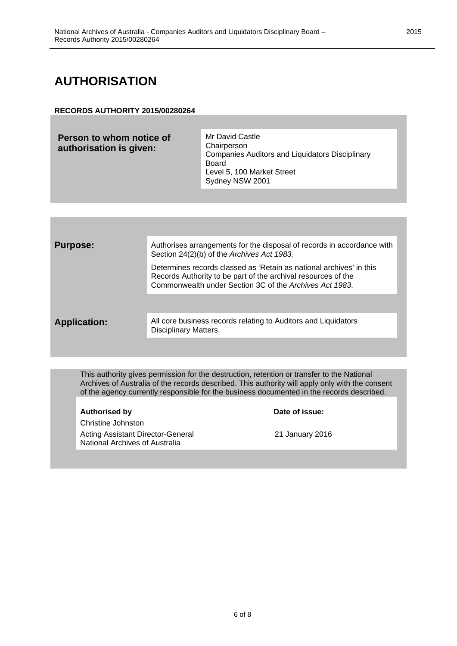### **AUTHORISATION**

#### **RECORDS AUTHORITY 2015/00280264**

| <b>Purpose:</b>     | Authorises arrangements for the disposal of records in accordance with<br>Section 24(2)(b) of the Archives Act 1983.                                                                            |
|---------------------|-------------------------------------------------------------------------------------------------------------------------------------------------------------------------------------------------|
|                     | Determines records classed as 'Retain as national archives' in this<br>Records Authority to be part of the archival resources of the<br>Commonwealth under Section 3C of the Archives Act 1983. |
|                     |                                                                                                                                                                                                 |
| <b>Application:</b> | All core business records relating to Auditors and Liquidators<br>Disciplinary Matters.                                                                                                         |
|                     |                                                                                                                                                                                                 |

This authority gives permission for the destruction, retention or transfer to the National Archives of Australia of the records described. This authority will apply only with the consent of the agency currently responsible for the business documented in the records described.

| <b>Authorised by</b>                                                | Date of issue:  |
|---------------------------------------------------------------------|-----------------|
| Christine Johnston                                                  |                 |
| Acting Assistant Director-General<br>National Archives of Australia | 21 January 2016 |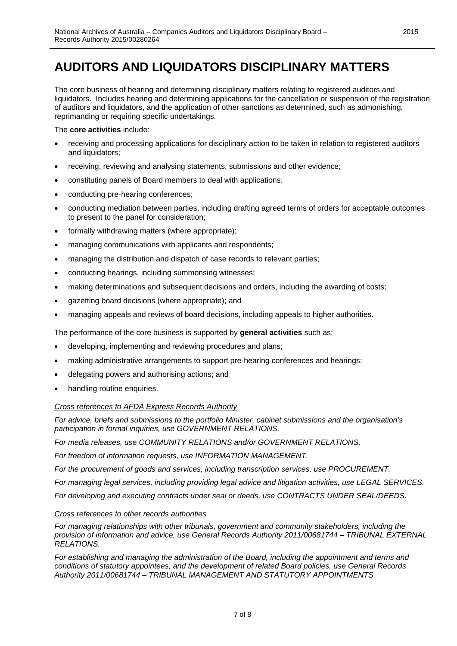### **AUDITORS AND LIQUIDATORS DISCIPLINARY MATTERS**

The core business of hearing and determining disciplinary matters relating to registered auditors and liquidators. Includes hearing and determining applications for the cancellation or suspension of the registration of auditors and liquidators, and the application of other sanctions as determined, such as admonishing, reprimanding or requiring specific undertakings.

The **core activities** include:

- receiving and processing applications for disciplinary action to be taken in relation to registered auditors and liquidators;
- receiving, reviewing and analysing statements, submissions and other evidence;
- constituting panels of Board members to deal with applications;
- conducting pre-hearing conferences;
- conducting mediation between parties, including drafting agreed terms of orders for acceptable outcomes to present to the panel for consideration;
- formally withdrawing matters (where appropriate);
- managing communications with applicants and respondents;
- managing the distribution and dispatch of case records to relevant parties;
- conducting hearings, including summonsing witnesses;
- making determinations and subsequent decisions and orders, including the awarding of costs;
- gazetting board decisions (where appropriate); and
- managing appeals and reviews of board decisions, including appeals to higher authorities.

The performance of the core business is supported by **general activities** such as:

- developing, implementing and reviewing procedures and plans;
- making administrative arrangements to support pre-hearing conferences and hearings;
- delegating powers and authorising actions; and
- handling routine enquiries.

#### *Cross references to AFDA Express Records Authority*

*For advice, briefs and submissions to the portfolio Minister, cabinet submissions and the organisation's participation in formal inquiries, use GOVERNMENT RELATIONS.*

*For media releases, use COMMUNITY RELATIONS and/or GOVERNMENT RELATIONS.*

*For freedom of information requests, use INFORMATION MANAGEMENT.*

*For the procurement of goods and services, including transcription services, use PROCUREMENT.*

*For managing legal services, including providing legal advice and litigation activities, use LEGAL SERVICES.*

*For developing and executing contracts under seal or deeds, use CONTRACTS UNDER SEAL/DEEDS.*

#### *Cross references to other records authorities*

*For managing relationships with other tribunals, government and community stakeholders, including the provision of information and advice, use General Records Authority 2011/00681744 – TRIBUNAL EXTERNAL RELATIONS.*

*For establishing and managing the administration of the Board, including the appointment and terms and conditions of statutory appointees, and the development of related Board policies, use General Records Authority 2011/00681744 – TRIBUNAL MANAGEMENT AND STATUTORY APPOINTMENTS.*